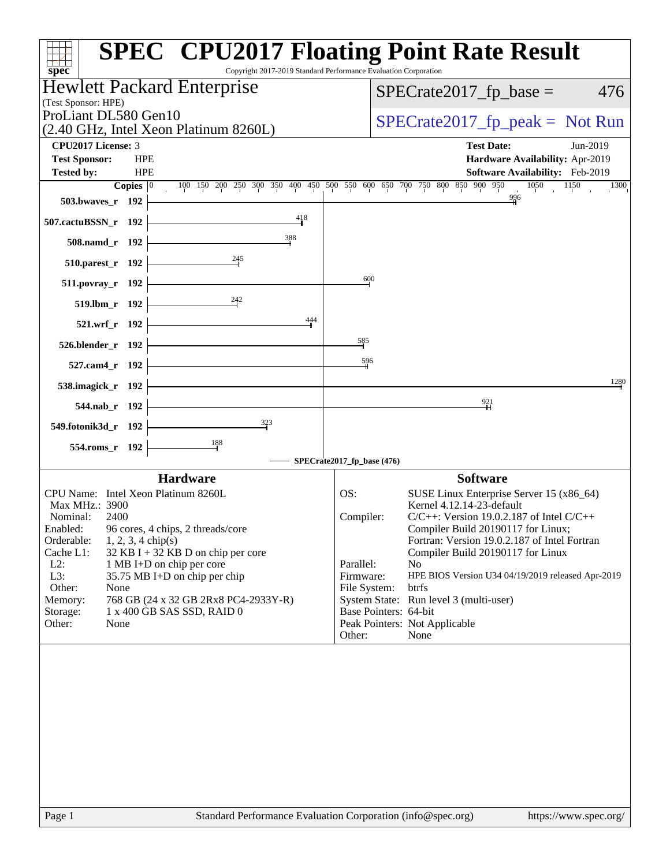| spec <sup>®</sup>                                                                         | <b>SPEC<sup>®</sup></b> CPU2017 Floating Point Rate Result<br>Copyright 2017-2019 Standard Performance Evaluation Corporation |
|-------------------------------------------------------------------------------------------|-------------------------------------------------------------------------------------------------------------------------------|
| <b>Hewlett Packard Enterprise</b><br>(Test Sponsor: HPE)                                  | $SPECrate2017_fp\_base =$<br>476                                                                                              |
| ProLiant DL580 Gen10<br>(2.40 GHz, Intel Xeon Platinum 8260L)                             | $SPECrate2017_fp\_peak = Not Run$                                                                                             |
| <b>CPU2017 License: 3</b>                                                                 | <b>Test Date:</b><br>Jun-2019                                                                                                 |
| <b>HPE</b><br><b>Test Sponsor:</b><br><b>HPE</b><br><b>Tested by:</b>                     | Hardware Availability: Apr-2019<br>Software Availability: Feb-2019                                                            |
| Copies $ 0\rangle$                                                                        | 100 150 200 250 300 350 400 450 500 550 600 650 700 750 800 850 900 950<br>1050<br>1150<br><sup>1300</sup><br>$\sim 10^{-1}$  |
| 503.bwaves_r 192                                                                          | 996                                                                                                                           |
| 418<br>507.cactuBSSN_r 192                                                                |                                                                                                                               |
| 388<br>508.namd_r 192                                                                     |                                                                                                                               |
| 510.parest_r 192                                                                          |                                                                                                                               |
| 511.povray_r 192                                                                          | 600                                                                                                                           |
| 242<br>519.lbm_r 192                                                                      |                                                                                                                               |
| 444<br>521.wrf_r 192                                                                      |                                                                                                                               |
| 526.blender_r 192                                                                         | 585                                                                                                                           |
| 527.cam4_r 192                                                                            | 596                                                                                                                           |
| 538.imagick_r 192                                                                         | 1280                                                                                                                          |
| 544.nab_r 192                                                                             | 921                                                                                                                           |
| $\frac{323}{5}$<br>549.fotonik3d_r 192                                                    |                                                                                                                               |
| 554.roms_r 192                                                                            |                                                                                                                               |
|                                                                                           | SPECrate2017_fp_base (476)                                                                                                    |
| <b>Hardware</b><br>CPU Name: Intel Xeon Platinum 8260L                                    | <b>Software</b>                                                                                                               |
| Max MHz.: 3900                                                                            | OS:<br>SUSE Linux Enterprise Server 15 (x86_64)<br>Kernel 4.12.14-23-default                                                  |
| Nominal:<br>2400                                                                          | Compiler:<br>$C/C++$ : Version 19.0.2.187 of Intel $C/C++$                                                                    |
| Enabled:<br>96 cores, 4 chips, 2 threads/core                                             | Compiler Build 20190117 for Linux;                                                                                            |
| Orderable:<br>$1, 2, 3, 4$ chip(s)                                                        | Fortran: Version 19.0.2.187 of Intel Fortran                                                                                  |
| Cache L1:<br>$32$ KB I + 32 KB D on chip per core<br>$L2$ :<br>1 MB I+D on chip per core  | Compiler Build 20190117 for Linux<br>Parallel:<br>N <sub>o</sub>                                                              |
| L3:<br>35.75 MB I+D on chip per chip                                                      | Firmware:<br>HPE BIOS Version U34 04/19/2019 released Apr-2019                                                                |
| Other:<br>None                                                                            | File System:<br>btrfs                                                                                                         |
| 768 GB (24 x 32 GB 2Rx8 PC4-2933Y-R)<br>Memory:<br>Storage:<br>1 x 400 GB SAS SSD, RAID 0 | System State: Run level 3 (multi-user)<br>Base Pointers: 64-bit                                                               |
| Other:<br>None                                                                            | Peak Pointers: Not Applicable                                                                                                 |
|                                                                                           | Other:<br>None                                                                                                                |
|                                                                                           |                                                                                                                               |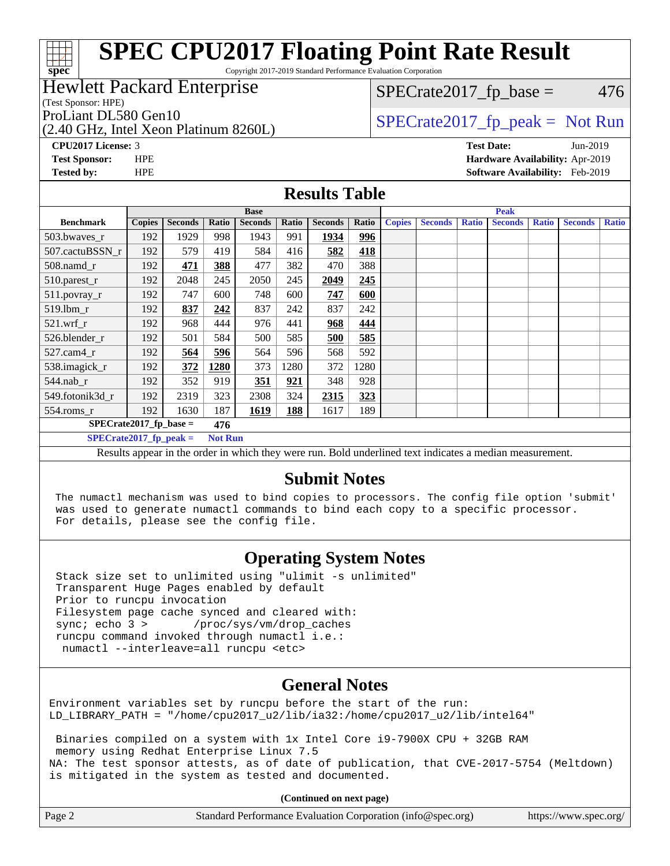Copyright 2017-2019 Standard Performance Evaluation Corporation

## Hewlett Packard Enterprise

(Test Sponsor: HPE)

(2.40 GHz, Intel Xeon Platinum 8260L)

 $SPECTate2017<sub>fp</sub> base = 476$ 

## ProLiant DL580 Gen10  $SPECrate2017$  fp\_peak = Not Run

**[CPU2017 License:](http://www.spec.org/auto/cpu2017/Docs/result-fields.html#CPU2017License)** 3 **[Test Date:](http://www.spec.org/auto/cpu2017/Docs/result-fields.html#TestDate)** Jun-2019 **[Test Sponsor:](http://www.spec.org/auto/cpu2017/Docs/result-fields.html#TestSponsor)** HPE **[Hardware Availability:](http://www.spec.org/auto/cpu2017/Docs/result-fields.html#HardwareAvailability)** Apr-2019 **[Tested by:](http://www.spec.org/auto/cpu2017/Docs/result-fields.html#Testedby)** HPE **[Software Availability:](http://www.spec.org/auto/cpu2017/Docs/result-fields.html#SoftwareAvailability)** Feb-2019

### **[Results Table](http://www.spec.org/auto/cpu2017/Docs/result-fields.html#ResultsTable)**

|                                                                                                                                                                                                                                      | <b>Base</b>   |                |       |                |       |                |       |               |                | <b>Peak</b>  |                |              |                |              |
|--------------------------------------------------------------------------------------------------------------------------------------------------------------------------------------------------------------------------------------|---------------|----------------|-------|----------------|-------|----------------|-------|---------------|----------------|--------------|----------------|--------------|----------------|--------------|
| <b>Benchmark</b>                                                                                                                                                                                                                     | <b>Copies</b> | <b>Seconds</b> | Ratio | <b>Seconds</b> | Ratio | <b>Seconds</b> | Ratio | <b>Copies</b> | <b>Seconds</b> | <b>Ratio</b> | <b>Seconds</b> | <b>Ratio</b> | <b>Seconds</b> | <b>Ratio</b> |
| 503.bwayes_r                                                                                                                                                                                                                         | 192           | 1929           | 998   | 1943           | 991   | 1934           | 996   |               |                |              |                |              |                |              |
| 507.cactuBSSN r                                                                                                                                                                                                                      | 192           | 579            | 419   | 584            | 416   | 582            | 418   |               |                |              |                |              |                |              |
| $508$ .namd_r                                                                                                                                                                                                                        | 192           | 471            | 388   | 477            | 382   | 470            | 388   |               |                |              |                |              |                |              |
| 510.parest_r                                                                                                                                                                                                                         | 192           | 2048           | 245   | 2050           | 245   | 2049           | 245   |               |                |              |                |              |                |              |
| 511.povray_r                                                                                                                                                                                                                         | 192           | 747            | 600   | 748            | 600   | 747            | 600   |               |                |              |                |              |                |              |
| $519.$ lbm_r                                                                                                                                                                                                                         | 192           | 837            | 242   | 837            | 242   | 837            | 242   |               |                |              |                |              |                |              |
| $521.wrf$ r                                                                                                                                                                                                                          | 192           | 968            | 444   | 976            | 441   | 968            | 444   |               |                |              |                |              |                |              |
| 526.blender r                                                                                                                                                                                                                        | 192           | 501            | 584   | 500            | 585   | 500            | 585   |               |                |              |                |              |                |              |
| $527$ .cam $4r$                                                                                                                                                                                                                      | 192           | 564            | 596   | 564            | 596   | 568            | 592   |               |                |              |                |              |                |              |
| 538.imagick_r                                                                                                                                                                                                                        | 192           | 372            | 1280  | 373            | 1280  | 372            | 1280  |               |                |              |                |              |                |              |
| $544$ .nab_r                                                                                                                                                                                                                         | 192           | 352            | 919   | 351            | 921   | 348            | 928   |               |                |              |                |              |                |              |
| 549.fotonik3d r                                                                                                                                                                                                                      | 192           | 2319           | 323   | 2308           | 324   | 2315           | 323   |               |                |              |                |              |                |              |
| $554$ .roms_r                                                                                                                                                                                                                        | 192           | 1630           | 187   | 1619           | 188   | 1617           | 189   |               |                |              |                |              |                |              |
| $SPECrate2017_fp\_base =$<br>476                                                                                                                                                                                                     |               |                |       |                |       |                |       |               |                |              |                |              |                |              |
| $SPECrate2017$ fp peak =<br><b>Not Run</b>                                                                                                                                                                                           |               |                |       |                |       |                |       |               |                |              |                |              |                |              |
| $\blacksquare$ . The state of the state of the state of the state of the state of the state of the state of the state of the state of the state of the state of the state of the state of the state of the state of the state of the |               |                |       |                |       |                |       |               |                |              |                |              |                |              |

Results appear in the [order in which they were run](http://www.spec.org/auto/cpu2017/Docs/result-fields.html#RunOrder). Bold underlined text [indicates a median measurement.](http://www.spec.org/auto/cpu2017/Docs/result-fields.html#Median)

### **[Submit Notes](http://www.spec.org/auto/cpu2017/Docs/result-fields.html#SubmitNotes)**

 The numactl mechanism was used to bind copies to processors. The config file option 'submit' was used to generate numactl commands to bind each copy to a specific processor. For details, please see the config file.

## **[Operating System Notes](http://www.spec.org/auto/cpu2017/Docs/result-fields.html#OperatingSystemNotes)**

 Stack size set to unlimited using "ulimit -s unlimited" Transparent Huge Pages enabled by default Prior to runcpu invocation Filesystem page cache synced and cleared with: sync; echo 3 > /proc/sys/vm/drop\_caches runcpu command invoked through numactl i.e.: numactl --interleave=all runcpu <etc>

## **[General Notes](http://www.spec.org/auto/cpu2017/Docs/result-fields.html#GeneralNotes)**

Environment variables set by runcpu before the start of the run: LD\_LIBRARY\_PATH = "/home/cpu2017\_u2/lib/ia32:/home/cpu2017\_u2/lib/intel64"

 Binaries compiled on a system with 1x Intel Core i9-7900X CPU + 32GB RAM memory using Redhat Enterprise Linux 7.5 NA: The test sponsor attests, as of date of publication, that CVE-2017-5754 (Meltdown) is mitigated in the system as tested and documented.

**(Continued on next page)**

| Page 2 | Standard Performance Evaluation Corporation (info@spec.org) | https://www.spec.org/ |
|--------|-------------------------------------------------------------|-----------------------|
|--------|-------------------------------------------------------------|-----------------------|

**[spec](http://www.spec.org/)**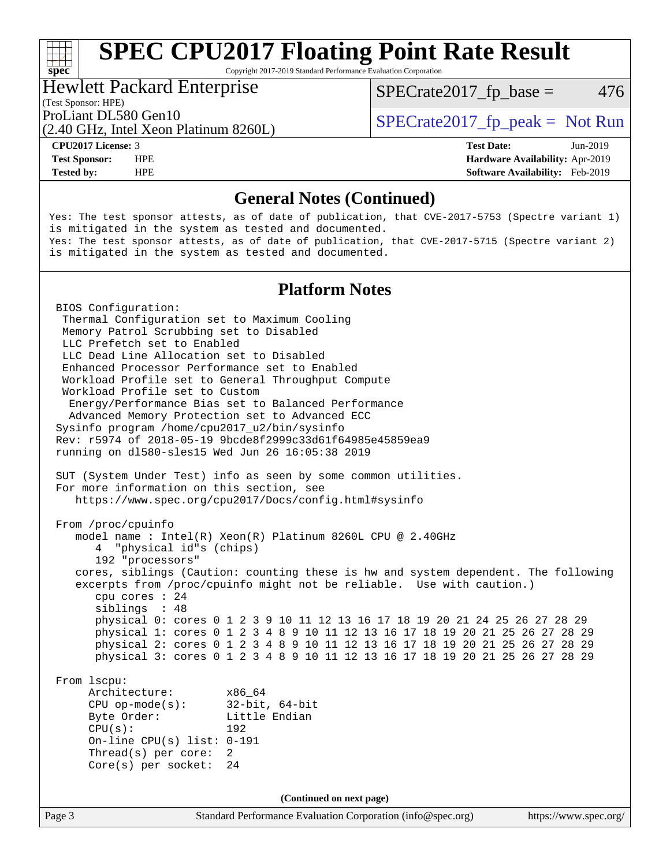Copyright 2017-2019 Standard Performance Evaluation Corporation

### Hewlett Packard Enterprise

(2.40 GHz, Intel Xeon Platinum 8260L)

 $SPECTate2017<sub>fp</sub> base = 476$ 

(Test Sponsor: HPE)

ProLiant DL580 Gen10  $SPECrate2017$  fp\_peak = Not Run

**[spec](http://www.spec.org/)**

**[Tested by:](http://www.spec.org/auto/cpu2017/Docs/result-fields.html#Testedby)** HPE **[Software Availability:](http://www.spec.org/auto/cpu2017/Docs/result-fields.html#SoftwareAvailability)** Feb-2019

**[CPU2017 License:](http://www.spec.org/auto/cpu2017/Docs/result-fields.html#CPU2017License)** 3 **[Test Date:](http://www.spec.org/auto/cpu2017/Docs/result-fields.html#TestDate)** Jun-2019 **[Test Sponsor:](http://www.spec.org/auto/cpu2017/Docs/result-fields.html#TestSponsor)** HPE **[Hardware Availability:](http://www.spec.org/auto/cpu2017/Docs/result-fields.html#HardwareAvailability)** Apr-2019

## **[General Notes \(Continued\)](http://www.spec.org/auto/cpu2017/Docs/result-fields.html#GeneralNotes)**

Yes: The test sponsor attests, as of date of publication, that CVE-2017-5753 (Spectre variant 1) is mitigated in the system as tested and documented. Yes: The test sponsor attests, as of date of publication, that CVE-2017-5715 (Spectre variant 2) is mitigated in the system as tested and documented.

## **[Platform Notes](http://www.spec.org/auto/cpu2017/Docs/result-fields.html#PlatformNotes)**

Page 3 Standard Performance Evaluation Corporation [\(info@spec.org\)](mailto:info@spec.org) <https://www.spec.org/> BIOS Configuration: Thermal Configuration set to Maximum Cooling Memory Patrol Scrubbing set to Disabled LLC Prefetch set to Enabled LLC Dead Line Allocation set to Disabled Enhanced Processor Performance set to Enabled Workload Profile set to General Throughput Compute Workload Profile set to Custom Energy/Performance Bias set to Balanced Performance Advanced Memory Protection set to Advanced ECC Sysinfo program /home/cpu2017\_u2/bin/sysinfo Rev: r5974 of 2018-05-19 9bcde8f2999c33d61f64985e45859ea9 running on dl580-sles15 Wed Jun 26 16:05:38 2019 SUT (System Under Test) info as seen by some common utilities. For more information on this section, see <https://www.spec.org/cpu2017/Docs/config.html#sysinfo> From /proc/cpuinfo model name : Intel(R) Xeon(R) Platinum 8260L CPU @ 2.40GHz 4 "physical id"s (chips) 192 "processors" cores, siblings (Caution: counting these is hw and system dependent. The following excerpts from /proc/cpuinfo might not be reliable. Use with caution.) cpu cores : 24 siblings : 48 physical 0: cores 0 1 2 3 9 10 11 12 13 16 17 18 19 20 21 24 25 26 27 28 29 physical 1: cores 0 1 2 3 4 8 9 10 11 12 13 16 17 18 19 20 21 25 26 27 28 29 physical 2: cores 0 1 2 3 4 8 9 10 11 12 13 16 17 18 19 20 21 25 26 27 28 29 physical 3: cores 0 1 2 3 4 8 9 10 11 12 13 16 17 18 19 20 21 25 26 27 28 29 From lscpu: Architecture: x86\_64 CPU op-mode(s): 32-bit, 64-bit Byte Order: Little Endian CPU(s): 192 On-line CPU(s) list: 0-191 Thread(s) per core: 2 Core(s) per socket: 24 **(Continued on next page)**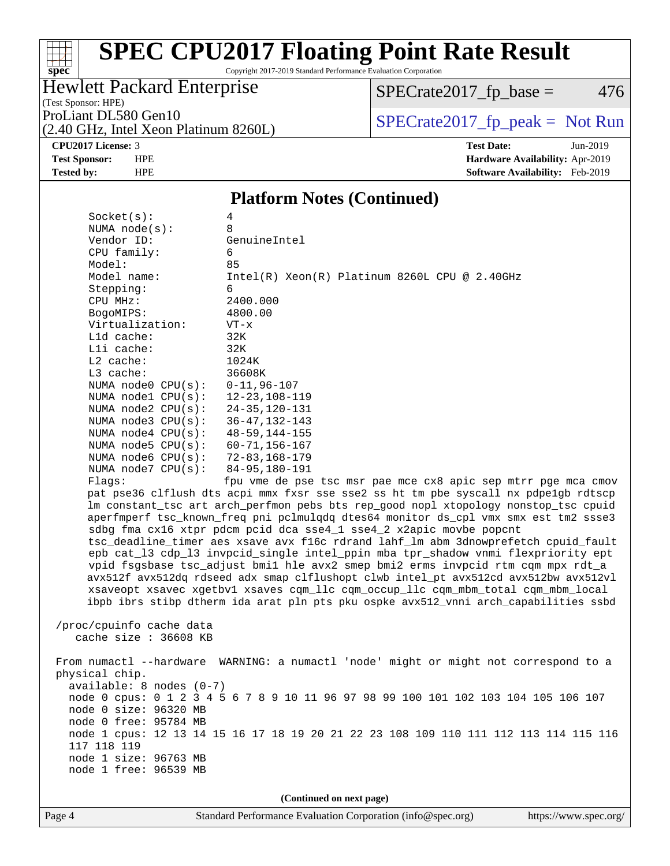# **[spec](http://www.spec.org/)**

## **[SPEC CPU2017 Floating Point Rate Result](http://www.spec.org/auto/cpu2017/Docs/result-fields.html#SPECCPU2017FloatingPointRateResult)**

Copyright 2017-2019 Standard Performance Evaluation Corporation

## Hewlett Packard Enterprise

 $SPECrate2017_fp\_base = 476$ 

(Test Sponsor: HPE)

(2.40 GHz, Intel Xeon Platinum 8260L)

ProLiant DL580 Gen10<br>  $(2.40 \text{ GHz} \text{ Intel } \text{Xeon} \text{ Platinum } 82601)$  SPECrate 2017\_fp\_peak = Not Run

**[CPU2017 License:](http://www.spec.org/auto/cpu2017/Docs/result-fields.html#CPU2017License)** 3 **[Test Date:](http://www.spec.org/auto/cpu2017/Docs/result-fields.html#TestDate)** Jun-2019 **[Test Sponsor:](http://www.spec.org/auto/cpu2017/Docs/result-fields.html#TestSponsor)** HPE **[Hardware Availability:](http://www.spec.org/auto/cpu2017/Docs/result-fields.html#HardwareAvailability)** Apr-2019 **[Tested by:](http://www.spec.org/auto/cpu2017/Docs/result-fields.html#Testedby)** HPE **[Software Availability:](http://www.spec.org/auto/cpu2017/Docs/result-fields.html#SoftwareAvailability)** Feb-2019

### **[Platform Notes \(Continued\)](http://www.spec.org/auto/cpu2017/Docs/result-fields.html#PlatformNotes)**

| Socket(s):                                                                          | 4                                                                                    |  |  |  |  |
|-------------------------------------------------------------------------------------|--------------------------------------------------------------------------------------|--|--|--|--|
| NUMA $node(s):$                                                                     | 8                                                                                    |  |  |  |  |
| Vendor ID:                                                                          | GenuineIntel                                                                         |  |  |  |  |
| CPU family:                                                                         | 6                                                                                    |  |  |  |  |
| Model:                                                                              | 85                                                                                   |  |  |  |  |
| Model name:                                                                         | $Intel(R) Xeon(R) Platinum 8260L CPU @ 2.40GHz$                                      |  |  |  |  |
| Stepping:                                                                           | 6                                                                                    |  |  |  |  |
| CPU MHz:                                                                            | 2400.000                                                                             |  |  |  |  |
| BogoMIPS:                                                                           | 4800.00                                                                              |  |  |  |  |
| Virtualization:                                                                     | $VT - x$                                                                             |  |  |  |  |
| L1d cache:                                                                          | 32K                                                                                  |  |  |  |  |
| Lli cache:                                                                          | 32K                                                                                  |  |  |  |  |
| L2 cache:<br>L3 cache:                                                              | 1024K<br>36608K                                                                      |  |  |  |  |
| NUMA $node0$ $CPU(s)$ :                                                             | $0 - 11, 96 - 107$                                                                   |  |  |  |  |
| NUMA $node1$ $CPU(s):$                                                              | $12 - 23, 108 - 119$                                                                 |  |  |  |  |
| NUMA node2 CPU(s):                                                                  | $24 - 35, 120 - 131$                                                                 |  |  |  |  |
| NUMA $node3$ $CPU(s):$                                                              | $36 - 47, 132 - 143$                                                                 |  |  |  |  |
| NUMA $node4$ $CPU(s):$                                                              | $48 - 59, 144 - 155$                                                                 |  |  |  |  |
| NUMA $node5$ $CPU(s):$                                                              | $60 - 71, 156 - 167$                                                                 |  |  |  |  |
| NUMA $node6$ $CPU(s):$                                                              | 72-83,168-179                                                                        |  |  |  |  |
| NUMA $node7$ CPU $(s)$ :                                                            | $84 - 95, 180 - 191$                                                                 |  |  |  |  |
| Flaqs:                                                                              | fpu vme de pse tsc msr pae mce cx8 apic sep mtrr pge mca cmov                        |  |  |  |  |
|                                                                                     | pat pse36 clflush dts acpi mmx fxsr sse sse2 ss ht tm pbe syscall nx pdpelgb rdtscp  |  |  |  |  |
|                                                                                     | lm constant_tsc art arch_perfmon pebs bts rep_good nopl xtopology nonstop_tsc cpuid  |  |  |  |  |
| aperfmperf tsc_known_freq pni pclmulqdq dtes64 monitor ds_cpl vmx smx est tm2 ssse3 |                                                                                      |  |  |  |  |
| sdbg fma cx16 xtpr pdcm pcid dca sse4_1 sse4_2 x2apic movbe popcnt                  |                                                                                      |  |  |  |  |
|                                                                                     | tsc_deadline_timer aes xsave avx f16c rdrand lahf_lm abm 3dnowprefetch cpuid_fault   |  |  |  |  |
|                                                                                     | epb cat_13 cdp_13 invpcid_single intel_ppin mba tpr_shadow vnmi flexpriority ept     |  |  |  |  |
|                                                                                     | vpid fsgsbase tsc_adjust bmil hle avx2 smep bmi2 erms invpcid rtm cqm mpx rdt_a      |  |  |  |  |
|                                                                                     | avx512f avx512dq rdseed adx smap clflushopt clwb intel_pt avx512cd avx512bw avx512vl |  |  |  |  |
|                                                                                     | xsaveopt xsavec xgetbvl xsaves cqm_llc cqm_occup_llc cqm_mbm_total cqm_mbm_local     |  |  |  |  |
|                                                                                     | ibpb ibrs stibp dtherm ida arat pln pts pku ospke avx512_vnni arch_capabilities ssbd |  |  |  |  |
|                                                                                     |                                                                                      |  |  |  |  |
| /proc/cpuinfo cache data<br>cache size : 36608 KB                                   |                                                                                      |  |  |  |  |
|                                                                                     |                                                                                      |  |  |  |  |
|                                                                                     | From numactl --hardware WARNING: a numactl 'node' might or might not correspond to a |  |  |  |  |
| physical chip.                                                                      |                                                                                      |  |  |  |  |
| $available: 8 nodes (0-7)$                                                          |                                                                                      |  |  |  |  |
| node 0 cpus: 0 1 2 3 4 5 6 7 8 9 10 11 96 97 98 99 100 101 102 103 104 105 106 107  |                                                                                      |  |  |  |  |
| node 0 size: 96320 MB                                                               |                                                                                      |  |  |  |  |
| node 0 free: 95784 MB                                                               |                                                                                      |  |  |  |  |
|                                                                                     | node 1 cpus: 12 13 14 15 16 17 18 19 20 21 22 23 108 109 110 111 112 113 114 115 116 |  |  |  |  |
| 117 118 119                                                                         |                                                                                      |  |  |  |  |
| node 1 size: 96763 MB                                                               |                                                                                      |  |  |  |  |
| node 1 free: 96539 MB                                                               |                                                                                      |  |  |  |  |
|                                                                                     |                                                                                      |  |  |  |  |
|                                                                                     | (Continued on next page)                                                             |  |  |  |  |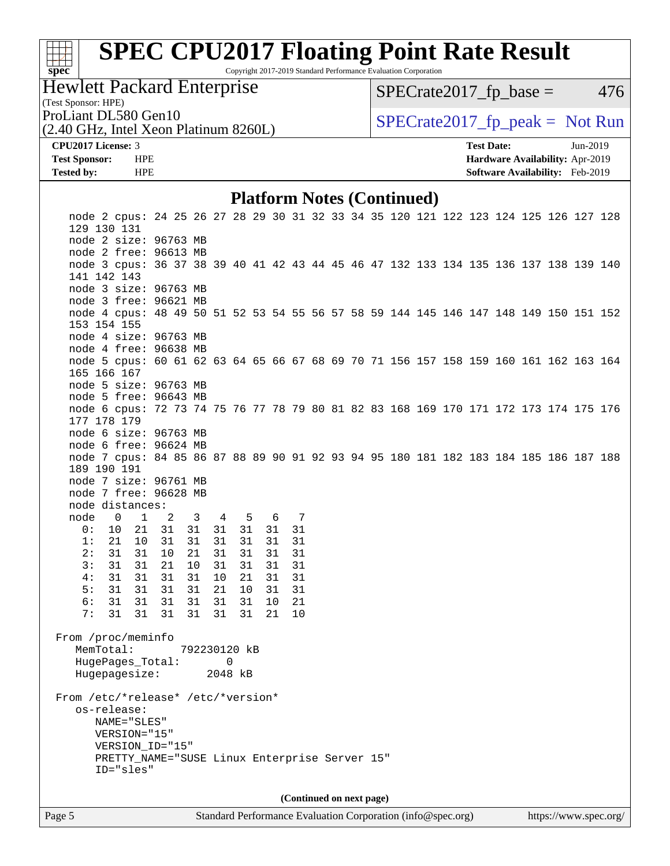# **[spec](http://www.spec.org/)**<sup>®</sup>

## **[SPEC CPU2017 Floating Point Rate Result](http://www.spec.org/auto/cpu2017/Docs/result-fields.html#SPECCPU2017FloatingPointRateResult)**

Copyright 2017-2019 Standard Performance Evaluation Corporation

## Hewlett Packard Enterprise

 $SPECTate2017<sub>fp</sub> base = 476$ 

## (Test Sponsor: HPE)

(2.40 GHz, Intel Xeon Platinum 8260L)

ProLiant DL580 Gen10  $SPECrate2017$  fp\_peak = Not Run

### **[CPU2017 License:](http://www.spec.org/auto/cpu2017/Docs/result-fields.html#CPU2017License)** 3 **[Test Date:](http://www.spec.org/auto/cpu2017/Docs/result-fields.html#TestDate)** Jun-2019 **[Test Sponsor:](http://www.spec.org/auto/cpu2017/Docs/result-fields.html#TestSponsor)** HPE **[Hardware Availability:](http://www.spec.org/auto/cpu2017/Docs/result-fields.html#HardwareAvailability)** Apr-2019 **[Tested by:](http://www.spec.org/auto/cpu2017/Docs/result-fields.html#Testedby)** HPE **[Software Availability:](http://www.spec.org/auto/cpu2017/Docs/result-fields.html#SoftwareAvailability)** Feb-2019

### **[Platform Notes \(Continued\)](http://www.spec.org/auto/cpu2017/Docs/result-fields.html#PlatformNotes)**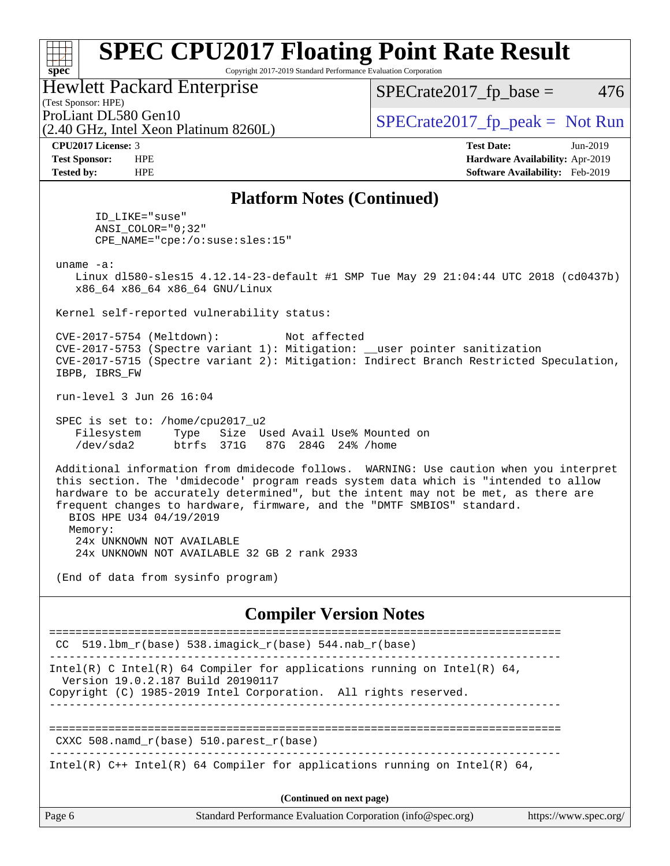Copyright 2017-2019 Standard Performance Evaluation Corporation

### Hewlett Packard Enterprise

(2.40 GHz, Intel Xeon Platinum 8260L)

 $SPECTate2017<sub>fp</sub> base = 476$ 

(Test Sponsor: HPE)

ProLiant DL580 Gen10  $SPECrate2017$  fp\_peak = Not Run

**[spec](http://www.spec.org/)**

ti h

**[CPU2017 License:](http://www.spec.org/auto/cpu2017/Docs/result-fields.html#CPU2017License)** 3 **[Test Date:](http://www.spec.org/auto/cpu2017/Docs/result-fields.html#TestDate)** Jun-2019 **[Test Sponsor:](http://www.spec.org/auto/cpu2017/Docs/result-fields.html#TestSponsor)** HPE **[Hardware Availability:](http://www.spec.org/auto/cpu2017/Docs/result-fields.html#HardwareAvailability)** Apr-2019 **[Tested by:](http://www.spec.org/auto/cpu2017/Docs/result-fields.html#Testedby)** HPE **[Software Availability:](http://www.spec.org/auto/cpu2017/Docs/result-fields.html#SoftwareAvailability)** Feb-2019

## **[Platform Notes \(Continued\)](http://www.spec.org/auto/cpu2017/Docs/result-fields.html#PlatformNotes)**

 ID\_LIKE="suse" ANSI\_COLOR="0;32" CPE\_NAME="cpe:/o:suse:sles:15"

uname -a:

 Linux dl580-sles15 4.12.14-23-default #1 SMP Tue May 29 21:04:44 UTC 2018 (cd0437b) x86\_64 x86\_64 x86\_64 GNU/Linux

Kernel self-reported vulnerability status:

 CVE-2017-5754 (Meltdown): Not affected CVE-2017-5753 (Spectre variant 1): Mitigation: \_\_user pointer sanitization CVE-2017-5715 (Spectre variant 2): Mitigation: Indirect Branch Restricted Speculation, IBPB, IBRS\_FW

run-level 3 Jun 26 16:04

 SPEC is set to: /home/cpu2017\_u2 Filesystem Type Size Used Avail Use% Mounted on /dev/sda2 btrfs 371G 87G 284G 24% /home

 Additional information from dmidecode follows. WARNING: Use caution when you interpret this section. The 'dmidecode' program reads system data which is "intended to allow hardware to be accurately determined", but the intent may not be met, as there are frequent changes to hardware, firmware, and the "DMTF SMBIOS" standard. BIOS HPE U34 04/19/2019 Memory:

 24x UNKNOWN NOT AVAILABLE 24x UNKNOWN NOT AVAILABLE 32 GB 2 rank 2933

(End of data from sysinfo program)

### **[Compiler Version Notes](http://www.spec.org/auto/cpu2017/Docs/result-fields.html#CompilerVersionNotes)**

|                                   | CC 519.1bm $r(base)$ 538.imagick $r(base)$ 544.nab $r(base)$                                                                                |                       |
|-----------------------------------|---------------------------------------------------------------------------------------------------------------------------------------------|-----------------------|
| Version 19.0.2.187 Build 20190117 | Intel(R) C Intel(R) 64 Compiler for applications running on Intel(R) 64,<br>Copyright (C) 1985-2019 Intel Corporation. All rights reserved. |                       |
|                                   | CXXC 508. namd $r(base)$ 510. parest $r(base)$                                                                                              |                       |
|                                   | Intel(R) $C++$ Intel(R) 64 Compiler for applications running on Intel(R) 64,                                                                |                       |
|                                   | (Continued on next page)                                                                                                                    |                       |
| Page 6                            | Standard Performance Evaluation Corporation (info@spec.org)                                                                                 | https://www.spec.org/ |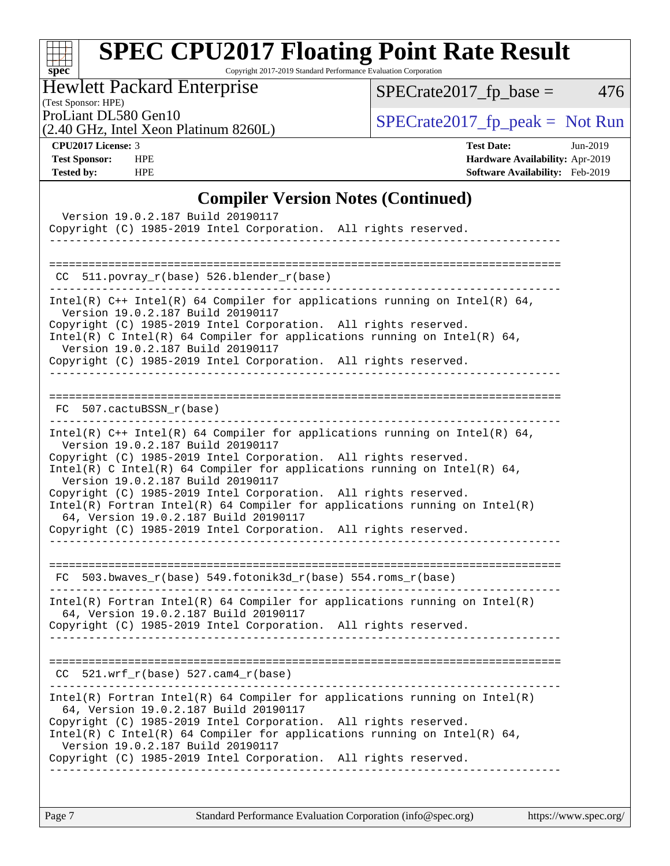| SI<br>۱t<br>U<br>Ľ |  |  |  |  |  |
|--------------------|--|--|--|--|--|

Copyright 2017-2019 Standard Performance Evaluation Corporation

Hewlett Packard Enterprise

 $SPECrate2017_fp\_base = 476$ 

(Test Sponsor: HPE) (2.40 GHz, Intel Xeon Platinum 8260L)

ProLiant DL580 Gen10<br>  $(2.40 \text{ GHz. Intel Yoon Plutium } 82601)$  [SPECrate2017\\_fp\\_peak =](http://www.spec.org/auto/cpu2017/Docs/result-fields.html#SPECrate2017fppeak) Not Run

**[CPU2017 License:](http://www.spec.org/auto/cpu2017/Docs/result-fields.html#CPU2017License)** 3 **[Test Date:](http://www.spec.org/auto/cpu2017/Docs/result-fields.html#TestDate)** Jun-2019 **[Test Sponsor:](http://www.spec.org/auto/cpu2017/Docs/result-fields.html#TestSponsor)** HPE **[Hardware Availability:](http://www.spec.org/auto/cpu2017/Docs/result-fields.html#HardwareAvailability)** Apr-2019 **[Tested by:](http://www.spec.org/auto/cpu2017/Docs/result-fields.html#Testedby)** HPE **[Software Availability:](http://www.spec.org/auto/cpu2017/Docs/result-fields.html#SoftwareAvailability)** Feb-2019

## **[Compiler Version Notes \(Continued\)](http://www.spec.org/auto/cpu2017/Docs/result-fields.html#CompilerVersionNotes)**

| Version 19.0.2.187 Build 20190117<br>Copyright (C) 1985-2019 Intel Corporation. All rights reserved.                                                                                                                                                                                                                                                                                                                                                                                                                                                                 |
|----------------------------------------------------------------------------------------------------------------------------------------------------------------------------------------------------------------------------------------------------------------------------------------------------------------------------------------------------------------------------------------------------------------------------------------------------------------------------------------------------------------------------------------------------------------------|
| CC 511.povray_r(base) 526.blender_r(base)                                                                                                                                                                                                                                                                                                                                                                                                                                                                                                                            |
| Intel(R) $C++$ Intel(R) 64 Compiler for applications running on Intel(R) 64,<br>Version 19.0.2.187 Build 20190117<br>Copyright (C) 1985-2019 Intel Corporation. All rights reserved.<br>Intel(R) C Intel(R) 64 Compiler for applications running on Intel(R) 64,<br>Version 19.0.2.187 Build 20190117<br>Copyright (C) 1985-2019 Intel Corporation. All rights reserved.<br>--------------------------------------                                                                                                                                                   |
| FC 507.cactuBSSN_r(base)                                                                                                                                                                                                                                                                                                                                                                                                                                                                                                                                             |
| Intel(R) $C++$ Intel(R) 64 Compiler for applications running on Intel(R) 64,<br>Version 19.0.2.187 Build 20190117<br>Copyright (C) 1985-2019 Intel Corporation. All rights reserved.<br>Intel(R) C Intel(R) 64 Compiler for applications running on Intel(R) 64,<br>Version 19.0.2.187 Build 20190117<br>Copyright (C) 1985-2019 Intel Corporation. All rights reserved.<br>$Intel(R)$ Fortran Intel(R) 64 Compiler for applications running on Intel(R)<br>64, Version 19.0.2.187 Build 20190117<br>Copyright (C) 1985-2019 Intel Corporation. All rights reserved. |
| $FC 503.bwaves_r(base) 549.fotonik3d_r(base) 554.roms_r(base)$                                                                                                                                                                                                                                                                                                                                                                                                                                                                                                       |
| $Intel(R)$ Fortran Intel(R) 64 Compiler for applications running on Intel(R)<br>64, Version 19.0.2.187 Build 20190117<br>Copyright (C) 1985-2019 Intel Corporation. All rights reserved.                                                                                                                                                                                                                                                                                                                                                                             |
| $CC$ 521.wrf_r(base) 527.cam4_r(base)                                                                                                                                                                                                                                                                                                                                                                                                                                                                                                                                |
| $Intel(R)$ Fortran Intel(R) 64 Compiler for applications running on Intel(R)<br>64, Version 19.0.2.187 Build 20190117<br>Copyright (C) 1985-2019 Intel Corporation. All rights reserved.<br>$Intel(R)$ C Intel(R) 64 Compiler for applications running on Intel(R) 64,<br>Version 19.0.2.187 Build 20190117<br>Copyright (C) 1985-2019 Intel Corporation. All rights reserved.                                                                                                                                                                                       |
|                                                                                                                                                                                                                                                                                                                                                                                                                                                                                                                                                                      |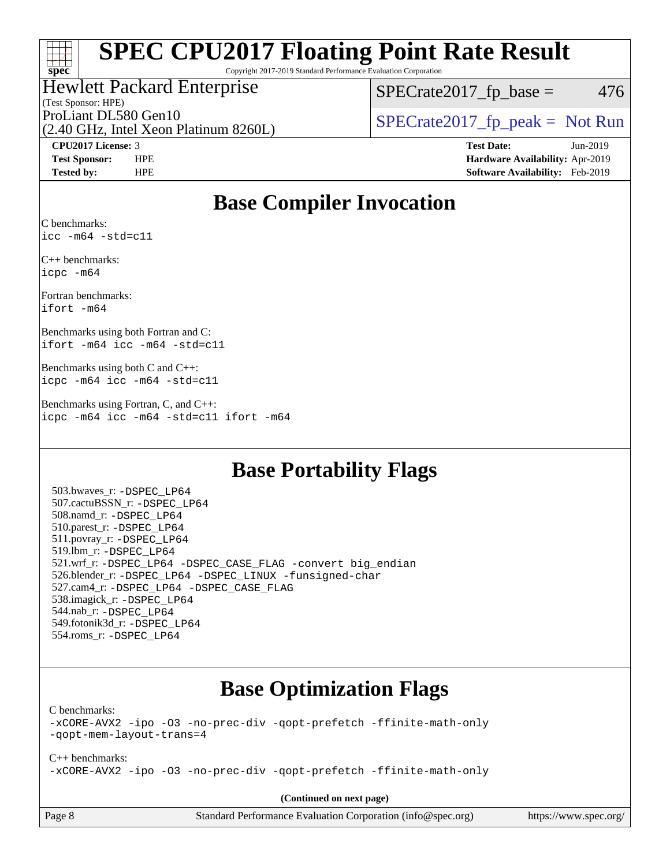## $\pm\pm\tau$ **[spec](http://www.spec.org/)**

## **[SPEC CPU2017 Floating Point Rate Result](http://www.spec.org/auto/cpu2017/Docs/result-fields.html#SPECCPU2017FloatingPointRateResult)**

Copyright 2017-2019 Standard Performance Evaluation Corporation

### (Test Sponsor: HPE) Hewlett Packard Enterprise

 $SPECTate2017<sub>fp</sub> base = 476$ 

(2.40 GHz, Intel Xeon Platinum 8260L)

ProLiant DL580 Gen10  $SPECrate2017$  fp\_peak = Not Run

**[CPU2017 License:](http://www.spec.org/auto/cpu2017/Docs/result-fields.html#CPU2017License)** 3 **[Test Date:](http://www.spec.org/auto/cpu2017/Docs/result-fields.html#TestDate)** Jun-2019 **[Test Sponsor:](http://www.spec.org/auto/cpu2017/Docs/result-fields.html#TestSponsor)** HPE **[Hardware Availability:](http://www.spec.org/auto/cpu2017/Docs/result-fields.html#HardwareAvailability)** Apr-2019 **[Tested by:](http://www.spec.org/auto/cpu2017/Docs/result-fields.html#Testedby)** HPE **[Software Availability:](http://www.spec.org/auto/cpu2017/Docs/result-fields.html#SoftwareAvailability)** Feb-2019

## **[Base Compiler Invocation](http://www.spec.org/auto/cpu2017/Docs/result-fields.html#BaseCompilerInvocation)**

[C benchmarks](http://www.spec.org/auto/cpu2017/Docs/result-fields.html#Cbenchmarks): [icc -m64 -std=c11](http://www.spec.org/cpu2017/results/res2019q3/cpu2017-20190709-16147.flags.html#user_CCbase_intel_icc_64bit_c11_33ee0cdaae7deeeab2a9725423ba97205ce30f63b9926c2519791662299b76a0318f32ddfffdc46587804de3178b4f9328c46fa7c2b0cd779d7a61945c91cd35)

[C++ benchmarks](http://www.spec.org/auto/cpu2017/Docs/result-fields.html#CXXbenchmarks): [icpc -m64](http://www.spec.org/cpu2017/results/res2019q3/cpu2017-20190709-16147.flags.html#user_CXXbase_intel_icpc_64bit_4ecb2543ae3f1412ef961e0650ca070fec7b7afdcd6ed48761b84423119d1bf6bdf5cad15b44d48e7256388bc77273b966e5eb805aefd121eb22e9299b2ec9d9)

[Fortran benchmarks:](http://www.spec.org/auto/cpu2017/Docs/result-fields.html#Fortranbenchmarks) [ifort -m64](http://www.spec.org/cpu2017/results/res2019q3/cpu2017-20190709-16147.flags.html#user_FCbase_intel_ifort_64bit_24f2bb282fbaeffd6157abe4f878425411749daecae9a33200eee2bee2fe76f3b89351d69a8130dd5949958ce389cf37ff59a95e7a40d588e8d3a57e0c3fd751)

[Benchmarks using both Fortran and C](http://www.spec.org/auto/cpu2017/Docs/result-fields.html#BenchmarksusingbothFortranandC): [ifort -m64](http://www.spec.org/cpu2017/results/res2019q3/cpu2017-20190709-16147.flags.html#user_CC_FCbase_intel_ifort_64bit_24f2bb282fbaeffd6157abe4f878425411749daecae9a33200eee2bee2fe76f3b89351d69a8130dd5949958ce389cf37ff59a95e7a40d588e8d3a57e0c3fd751) [icc -m64 -std=c11](http://www.spec.org/cpu2017/results/res2019q3/cpu2017-20190709-16147.flags.html#user_CC_FCbase_intel_icc_64bit_c11_33ee0cdaae7deeeab2a9725423ba97205ce30f63b9926c2519791662299b76a0318f32ddfffdc46587804de3178b4f9328c46fa7c2b0cd779d7a61945c91cd35)

[Benchmarks using both C and C++:](http://www.spec.org/auto/cpu2017/Docs/result-fields.html#BenchmarksusingbothCandCXX) [icpc -m64](http://www.spec.org/cpu2017/results/res2019q3/cpu2017-20190709-16147.flags.html#user_CC_CXXbase_intel_icpc_64bit_4ecb2543ae3f1412ef961e0650ca070fec7b7afdcd6ed48761b84423119d1bf6bdf5cad15b44d48e7256388bc77273b966e5eb805aefd121eb22e9299b2ec9d9) [icc -m64 -std=c11](http://www.spec.org/cpu2017/results/res2019q3/cpu2017-20190709-16147.flags.html#user_CC_CXXbase_intel_icc_64bit_c11_33ee0cdaae7deeeab2a9725423ba97205ce30f63b9926c2519791662299b76a0318f32ddfffdc46587804de3178b4f9328c46fa7c2b0cd779d7a61945c91cd35)

[Benchmarks using Fortran, C, and C++](http://www.spec.org/auto/cpu2017/Docs/result-fields.html#BenchmarksusingFortranCandCXX): [icpc -m64](http://www.spec.org/cpu2017/results/res2019q3/cpu2017-20190709-16147.flags.html#user_CC_CXX_FCbase_intel_icpc_64bit_4ecb2543ae3f1412ef961e0650ca070fec7b7afdcd6ed48761b84423119d1bf6bdf5cad15b44d48e7256388bc77273b966e5eb805aefd121eb22e9299b2ec9d9) [icc -m64 -std=c11](http://www.spec.org/cpu2017/results/res2019q3/cpu2017-20190709-16147.flags.html#user_CC_CXX_FCbase_intel_icc_64bit_c11_33ee0cdaae7deeeab2a9725423ba97205ce30f63b9926c2519791662299b76a0318f32ddfffdc46587804de3178b4f9328c46fa7c2b0cd779d7a61945c91cd35) [ifort -m64](http://www.spec.org/cpu2017/results/res2019q3/cpu2017-20190709-16147.flags.html#user_CC_CXX_FCbase_intel_ifort_64bit_24f2bb282fbaeffd6157abe4f878425411749daecae9a33200eee2bee2fe76f3b89351d69a8130dd5949958ce389cf37ff59a95e7a40d588e8d3a57e0c3fd751)

## **[Base Portability Flags](http://www.spec.org/auto/cpu2017/Docs/result-fields.html#BasePortabilityFlags)**

 503.bwaves\_r: [-DSPEC\\_LP64](http://www.spec.org/cpu2017/results/res2019q3/cpu2017-20190709-16147.flags.html#suite_basePORTABILITY503_bwaves_r_DSPEC_LP64) 507.cactuBSSN\_r: [-DSPEC\\_LP64](http://www.spec.org/cpu2017/results/res2019q3/cpu2017-20190709-16147.flags.html#suite_basePORTABILITY507_cactuBSSN_r_DSPEC_LP64) 508.namd\_r: [-DSPEC\\_LP64](http://www.spec.org/cpu2017/results/res2019q3/cpu2017-20190709-16147.flags.html#suite_basePORTABILITY508_namd_r_DSPEC_LP64) 510.parest\_r: [-DSPEC\\_LP64](http://www.spec.org/cpu2017/results/res2019q3/cpu2017-20190709-16147.flags.html#suite_basePORTABILITY510_parest_r_DSPEC_LP64) 511.povray\_r: [-DSPEC\\_LP64](http://www.spec.org/cpu2017/results/res2019q3/cpu2017-20190709-16147.flags.html#suite_basePORTABILITY511_povray_r_DSPEC_LP64) 519.lbm\_r: [-DSPEC\\_LP64](http://www.spec.org/cpu2017/results/res2019q3/cpu2017-20190709-16147.flags.html#suite_basePORTABILITY519_lbm_r_DSPEC_LP64) 521.wrf\_r: [-DSPEC\\_LP64](http://www.spec.org/cpu2017/results/res2019q3/cpu2017-20190709-16147.flags.html#suite_basePORTABILITY521_wrf_r_DSPEC_LP64) [-DSPEC\\_CASE\\_FLAG](http://www.spec.org/cpu2017/results/res2019q3/cpu2017-20190709-16147.flags.html#b521.wrf_r_baseCPORTABILITY_DSPEC_CASE_FLAG) [-convert big\\_endian](http://www.spec.org/cpu2017/results/res2019q3/cpu2017-20190709-16147.flags.html#user_baseFPORTABILITY521_wrf_r_convert_big_endian_c3194028bc08c63ac5d04de18c48ce6d347e4e562e8892b8bdbdc0214820426deb8554edfa529a3fb25a586e65a3d812c835984020483e7e73212c4d31a38223) 526.blender\_r: [-DSPEC\\_LP64](http://www.spec.org/cpu2017/results/res2019q3/cpu2017-20190709-16147.flags.html#suite_basePORTABILITY526_blender_r_DSPEC_LP64) [-DSPEC\\_LINUX](http://www.spec.org/cpu2017/results/res2019q3/cpu2017-20190709-16147.flags.html#b526.blender_r_baseCPORTABILITY_DSPEC_LINUX) [-funsigned-char](http://www.spec.org/cpu2017/results/res2019q3/cpu2017-20190709-16147.flags.html#user_baseCPORTABILITY526_blender_r_force_uchar_40c60f00ab013830e2dd6774aeded3ff59883ba5a1fc5fc14077f794d777847726e2a5858cbc7672e36e1b067e7e5c1d9a74f7176df07886a243d7cc18edfe67) 527.cam4\_r: [-DSPEC\\_LP64](http://www.spec.org/cpu2017/results/res2019q3/cpu2017-20190709-16147.flags.html#suite_basePORTABILITY527_cam4_r_DSPEC_LP64) [-DSPEC\\_CASE\\_FLAG](http://www.spec.org/cpu2017/results/res2019q3/cpu2017-20190709-16147.flags.html#b527.cam4_r_baseCPORTABILITY_DSPEC_CASE_FLAG) 538.imagick\_r: [-DSPEC\\_LP64](http://www.spec.org/cpu2017/results/res2019q3/cpu2017-20190709-16147.flags.html#suite_basePORTABILITY538_imagick_r_DSPEC_LP64) 544.nab\_r: [-DSPEC\\_LP64](http://www.spec.org/cpu2017/results/res2019q3/cpu2017-20190709-16147.flags.html#suite_basePORTABILITY544_nab_r_DSPEC_LP64) 549.fotonik3d\_r: [-DSPEC\\_LP64](http://www.spec.org/cpu2017/results/res2019q3/cpu2017-20190709-16147.flags.html#suite_basePORTABILITY549_fotonik3d_r_DSPEC_LP64) 554.roms\_r: [-DSPEC\\_LP64](http://www.spec.org/cpu2017/results/res2019q3/cpu2017-20190709-16147.flags.html#suite_basePORTABILITY554_roms_r_DSPEC_LP64)

## **[Base Optimization Flags](http://www.spec.org/auto/cpu2017/Docs/result-fields.html#BaseOptimizationFlags)**

[C benchmarks](http://www.spec.org/auto/cpu2017/Docs/result-fields.html#Cbenchmarks):

[-xCORE-AVX2](http://www.spec.org/cpu2017/results/res2019q3/cpu2017-20190709-16147.flags.html#user_CCbase_f-xCORE-AVX2) [-ipo](http://www.spec.org/cpu2017/results/res2019q3/cpu2017-20190709-16147.flags.html#user_CCbase_f-ipo) [-O3](http://www.spec.org/cpu2017/results/res2019q3/cpu2017-20190709-16147.flags.html#user_CCbase_f-O3) [-no-prec-div](http://www.spec.org/cpu2017/results/res2019q3/cpu2017-20190709-16147.flags.html#user_CCbase_f-no-prec-div) [-qopt-prefetch](http://www.spec.org/cpu2017/results/res2019q3/cpu2017-20190709-16147.flags.html#user_CCbase_f-qopt-prefetch) [-ffinite-math-only](http://www.spec.org/cpu2017/results/res2019q3/cpu2017-20190709-16147.flags.html#user_CCbase_f_finite_math_only_cb91587bd2077682c4b38af759c288ed7c732db004271a9512da14a4f8007909a5f1427ecbf1a0fb78ff2a814402c6114ac565ca162485bbcae155b5e4258871) [-qopt-mem-layout-trans=4](http://www.spec.org/cpu2017/results/res2019q3/cpu2017-20190709-16147.flags.html#user_CCbase_f-qopt-mem-layout-trans_fa39e755916c150a61361b7846f310bcdf6f04e385ef281cadf3647acec3f0ae266d1a1d22d972a7087a248fd4e6ca390a3634700869573d231a252c784941a8)

[C++ benchmarks:](http://www.spec.org/auto/cpu2017/Docs/result-fields.html#CXXbenchmarks) [-xCORE-AVX2](http://www.spec.org/cpu2017/results/res2019q3/cpu2017-20190709-16147.flags.html#user_CXXbase_f-xCORE-AVX2) [-ipo](http://www.spec.org/cpu2017/results/res2019q3/cpu2017-20190709-16147.flags.html#user_CXXbase_f-ipo) [-O3](http://www.spec.org/cpu2017/results/res2019q3/cpu2017-20190709-16147.flags.html#user_CXXbase_f-O3) [-no-prec-div](http://www.spec.org/cpu2017/results/res2019q3/cpu2017-20190709-16147.flags.html#user_CXXbase_f-no-prec-div) [-qopt-prefetch](http://www.spec.org/cpu2017/results/res2019q3/cpu2017-20190709-16147.flags.html#user_CXXbase_f-qopt-prefetch) [-ffinite-math-only](http://www.spec.org/cpu2017/results/res2019q3/cpu2017-20190709-16147.flags.html#user_CXXbase_f_finite_math_only_cb91587bd2077682c4b38af759c288ed7c732db004271a9512da14a4f8007909a5f1427ecbf1a0fb78ff2a814402c6114ac565ca162485bbcae155b5e4258871)

**(Continued on next page)**

| Page 8 |  |
|--------|--|
|--------|--|

Page 8 Standard Performance Evaluation Corporation [\(info@spec.org\)](mailto:info@spec.org) <https://www.spec.org/>